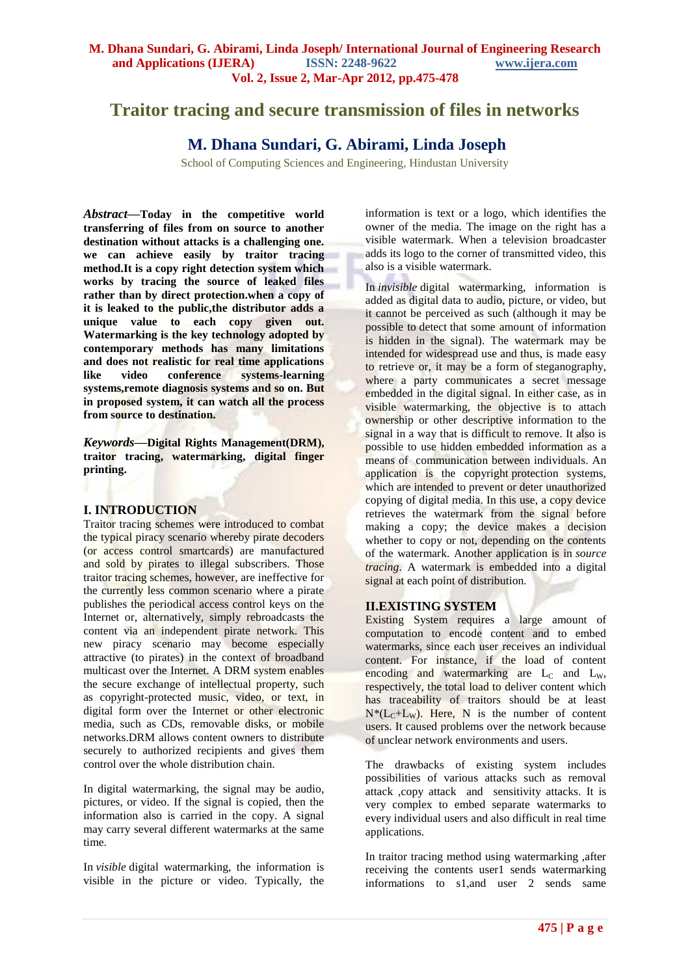# **Traitor tracing and secure transmission of files in networks**

# **M. Dhana Sundari, G. Abirami, Linda Joseph**

School of Computing Sciences and Engineering, Hindustan University

*Abstract—***Today in the competitive world transferring of files from on source to another destination without attacks is a challenging one. we can achieve easily by traitor tracing method.It is a copy right detection system which works by tracing the source of leaked files rather than by direct protection.when a copy of it is leaked to the public,the distributor adds a unique value to each copy given out. Watermarking is the key technology adopted by contemporary methods has many limitations and does not realistic for real time applications like video conference systems-learning systems,remote diagnosis systems and so on. But in proposed system, it can watch all the process from source to destination.**

*Keywords—***Digital Rights Management(DRM), traitor tracing, watermarking, digital finger printing.**

## **I. INTRODUCTION**

Traitor tracing schemes were introduced to combat the typical piracy scenario whereby pirate decoders (or access control smartcards) are manufactured and sold by pirates to illegal subscribers. Those traitor tracing schemes, however, are ineffective for the currently less common scenario where a pirate publishes the periodical access control keys on the Internet or, alternatively, simply rebroadcasts the content via an independent pirate network. This new piracy scenario may become especially attractive (to pirates) in the context of broadband multicast over the Internet. A DRM system enables the secure exchange of intellectual property, such as copyright-protected music, video, or text, in digital form over the Internet or other electronic media, such as CDs, removable disks, or mobile networks.DRM allows content owners to distribute securely to authorized recipients and gives them control over the whole distribution chain.

In digital watermarking, the signal may be audio, pictures, or video. If the signal is copied, then the information also is carried in the copy. A signal may carry several different watermarks at the same time.

In *visible* digital watermarking, the information is visible in the picture or video. Typically, the information is text or a logo, which identifies the owner of the media. The image on the right has a visible watermark. When a television broadcaster adds its logo to the corner of transmitted video, this also is a visible watermark.

In *invisible* digital watermarking, information is added as digital data to audio, picture, or video, but it cannot be perceived as such (although it may be possible to detect that some amount of information is hidden in the signal). The watermark may be intended for widespread use and thus, is made easy to retrieve or, it may be a form of steganography, where a party communicates a secret message embedded in the digital signal. In either case, as in visible watermarking, the objective is to attach ownership or other descriptive information to the signal in a way that is difficult to remove. It also is possible to use hidden embedded information as a means of communication between individuals. An application is the copyright protection systems, which are intended to prevent or deter unauthorized copying of digital media. In this use, a copy device retrieves the watermark from the signal before making a copy; the device makes a decision whether to copy or not, depending on the contents of the watermark. Another application is in *source tracing*. A watermark is embedded into a digital signal at each point of distribution.

## **II.EXISTING SYSTEM**

Existing System requires a large amount of computation to encode content and to embed watermarks, since each user receives an individual content. For instance, if the load of content encoding and watermarking are  $L_c$  and  $L_w$ , respectively, the total load to deliver content which has traceability of traitors should be at least  $N^*(L_C+L_W)$ . Here, N is the number of content users. It caused problems over the network because of unclear network environments and users.

The drawbacks of existing system includes possibilities of various attacks such as removal attack ,copy attack and sensitivity attacks. It is very complex to embed separate watermarks to every individual users and also difficult in real time applications.

In traitor tracing method using watermarking ,after receiving the contents user1 sends watermarking informations to s1,and user 2 sends same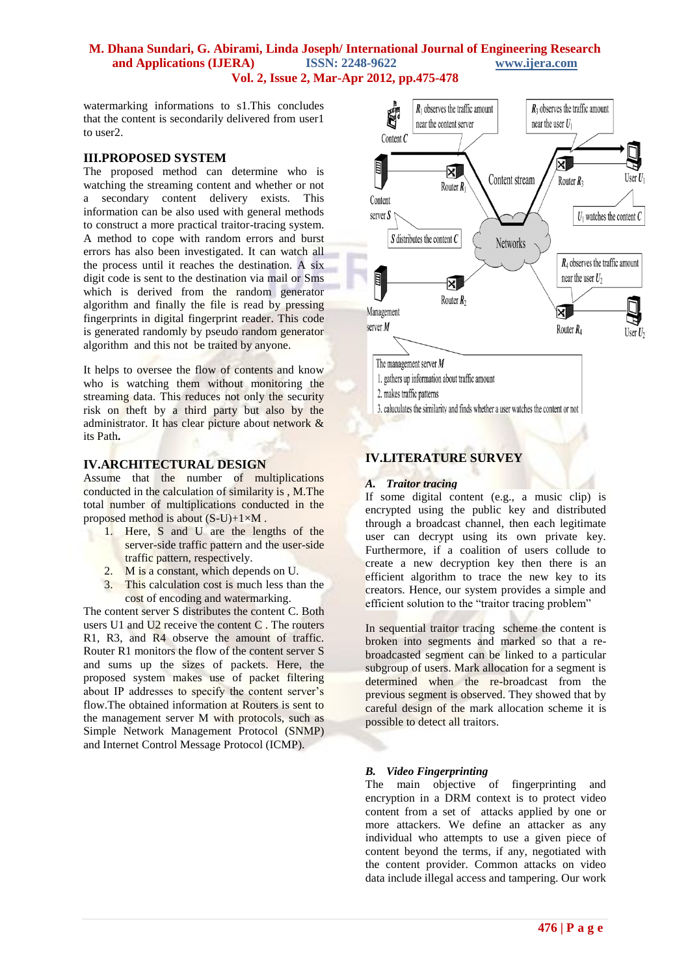## **M. Dhana Sundari, G. Abirami, Linda Joseph/ International Journal of Engineering Research and Applications (IJERA) ISSN: 2248-9622 www.ijera.com Vol. 2, Issue 2, Mar-Apr 2012, pp.475-478**

watermarking informations to s1.This concludes that the content is secondarily delivered from user1 to user2.

## **III.PROPOSED SYSTEM**

The proposed method can determine who is watching the streaming content and whether or not a secondary content delivery exists. This information can be also used with general methods to construct a more practical traitor-tracing system. A method to cope with random errors and burst errors has also been investigated. It can watch all the process until it reaches the destination. A six digit code is sent to the destination via mail or Sms which is derived from the random generator algorithm and finally the file is read by pressing fingerprints in digital fingerprint reader. This code is generated randomly by pseudo random generator algorithm and this not be traited by anyone.

It helps to oversee the flow of contents and know who is watching them without monitoring the streaming data. This reduces not only the security risk on theft by a third party but also by the administrator. It has clear picture about network & its Path**.**

## **IV.ARCHITECTURAL DESIGN**

Assume that the number of multiplications conducted in the calculation of similarity is , M.The total number of multiplications conducted in the proposed method is about  $(S-U)+1\times M$ .

- 1. Here, S and U are the lengths of the server-side traffic pattern and the user-side traffic pattern, respectively.
- 2. M is a constant, which depends on U.
- 3. This calculation cost is much less than the cost of encoding and watermarking.

The content server S distributes the content C. Both users U1 and U2 receive the content C . The routers R1, R3, and R4 observe the amount of traffic. Router R1 monitors the flow of the content server S and sums up the sizes of packets. Here, the proposed system makes use of packet filtering about IP addresses to specify the content server's flow.The obtained information at Routers is sent to the management server M with protocols, such as Simple Network Management Protocol (SNMP) and Internet Control Message Protocol (ICMP).



- 1. gathers up information about traffic amount
- 2. makes traffic patterns
- 3. caluculates the similarity and finds whether a user watches the content or not

## **IV.LITERATURE SURVEY**

#### *A. Traitor tracing*

If some digital content (e.g., a music clip) is encrypted using the public key and distributed through a broadcast channel, then each legitimate user can decrypt using its own private key. Furthermore, if a coalition of users collude to create a new decryption key then there is an efficient algorithm to trace the new key to its creators. Hence, our system provides a simple and efficient solution to the "traitor tracing problem"

In sequential traitor tracing scheme the content is broken into segments and marked so that a rebroadcasted segment can be linked to a particular subgroup of users. Mark allocation for a segment is determined when the re-broadcast from the previous segment is observed. They showed that by careful design of the mark allocation scheme it is possible to detect all traitors.

## *B. Video Fingerprinting*

The main objective of fingerprinting and encryption in a DRM context is to protect video content from a set of attacks applied by one or more attackers. We define an attacker as any individual who attempts to use a given piece of content beyond the terms, if any, negotiated with the content provider. Common attacks on video data include illegal access and tampering. Our work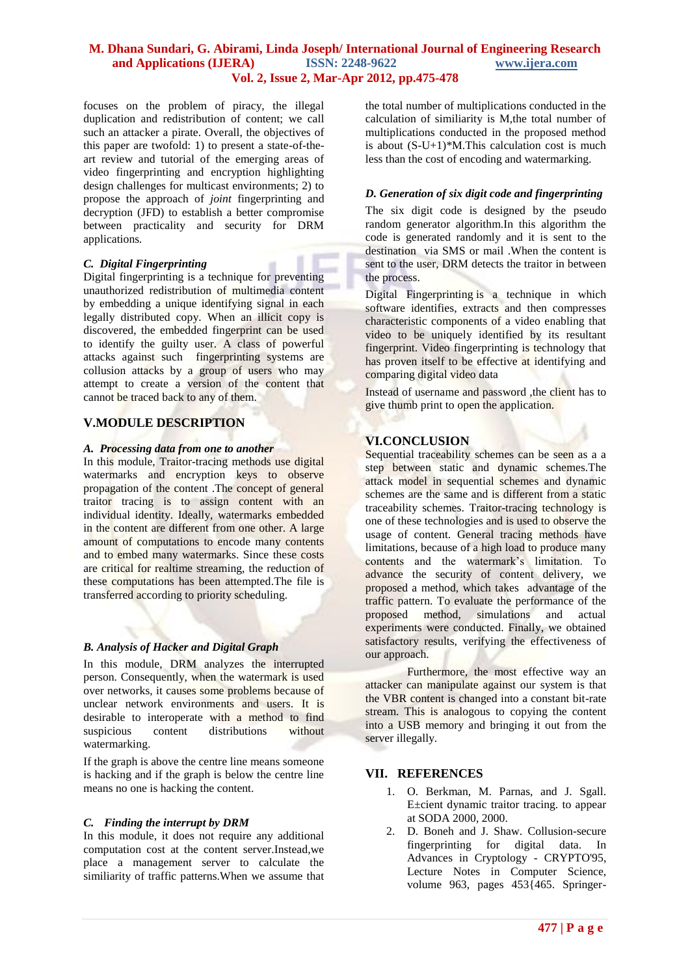## **M. Dhana Sundari, G. Abirami, Linda Joseph/ International Journal of Engineering Research and Applications (IJERA) ISSN: 2248-9622 www.ijera.com Vol. 2, Issue 2, Mar-Apr 2012, pp.475-478**

focuses on the problem of piracy, the illegal duplication and redistribution of content; we call such an attacker a pirate. Overall, the objectives of this paper are twofold: 1) to present a state-of-theart review and tutorial of the emerging areas of video fingerprinting and encryption highlighting design challenges for multicast environments; 2) to propose the approach of *joint* fingerprinting and decryption (JFD) to establish a better compromise between practicality and security for DRM applications*.*

#### *C. Digital Fingerprinting*

Digital fingerprinting is a technique for preventing unauthorized redistribution of multimedia content by embedding a unique identifying signal in each legally distributed copy. When an illicit copy is discovered, the embedded fingerprint can be used to identify the guilty user. A class of powerful attacks against such fingerprinting systems are collusion attacks by a group of users who may attempt to create a version of the content that cannot be traced back to any of them.

## **V.MODULE DESCRIPTION**

#### *A. Processing data from one to another*

In this module, Traitor-tracing methods use digital watermarks and encryption keys to observe propagation of the content .The concept of general traitor tracing is to assign content with an individual identity. Ideally, watermarks embedded in the content are different from one other. A large amount of computations to encode many contents and to embed many watermarks. Since these costs are critical for realtime streaming, the reduction of these computations has been attempted.The file is transferred according to priority scheduling.

## *B. Analysis of Hacker and Digital Graph*

In this module, DRM analyzes the interrupted person. Consequently, when the watermark is used over networks, it causes some problems because of unclear network environments and users. It is desirable to interoperate with a method to find suspicious content distributions without watermarking.

If the graph is above the centre line means someone is hacking and if the graph is below the centre line means no one is hacking the content.

## *C. Finding the interrupt by DRM*

In this module, it does not require any additional computation cost at the content server.Instead,we place a management server to calculate the similiarity of traffic patterns.When we assume that

the total number of multiplications conducted in the calculation of similiarity is M,the total number of multiplications conducted in the proposed method is about  $(S-U+1)*M$ . This calculation cost is much less than the cost of encoding and watermarking.

#### *D. Generation of six digit code and fingerprinting*

The six digit code is designed by the pseudo random generator algorithm.In this algorithm the code is generated randomly and it is sent to the destination via SMS or mail .When the content is sent to the user, DRM detects the traitor in between the process.

Digital Fingerprinting is a technique in which software identifies, extracts and then compresses characteristic components of a video enabling that video to be uniquely identified by its resultant fingerprint. Video fingerprinting is technology that has proven itself to be effective at identifying and comparing digital video data

Instead of username and password ,the client has to give thumb print to open the application.

## **VI.CONCLUSION**

Sequential traceability schemes can be seen as a a step between static and dynamic schemes.The attack model in sequential schemes and dynamic schemes are the same and is different from a static traceability schemes. Traitor-tracing technology is one of these technologies and is used to observe the usage of content. General tracing methods have limitations, because of a high load to produce many contents and the watermark's limitation. To advance the security of content delivery, we proposed a method, which takes advantage of the traffic pattern. To evaluate the performance of the proposed method, simulations and actual experiments were conducted. Finally, we obtained satisfactory results, verifying the effectiveness of our approach.

Furthermore, the most effective way an attacker can manipulate against our system is that the VBR content is changed into a constant bit-rate stream. This is analogous to copying the content into a USB memory and bringing it out from the server illegally.

## **VII. REFERENCES**

- 1. O. Berkman, M. Parnas, and J. Sgall. E±cient dynamic traitor tracing. to appear at SODA 2000, 2000.
- 2. D. Boneh and J. Shaw. Collusion-secure fingerprinting for digital data. In Advances in Cryptology - CRYPTO'95, Lecture Notes in Computer Science. volume 963, pages  $453\overline{465}$ . Springer-